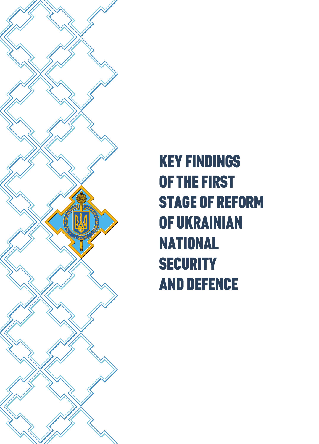

KEY FINDINGS OF THE FIRST STAGE OF REFORM OF UKRAINIAN NATIONAL **SECURITY** AND DEFENCE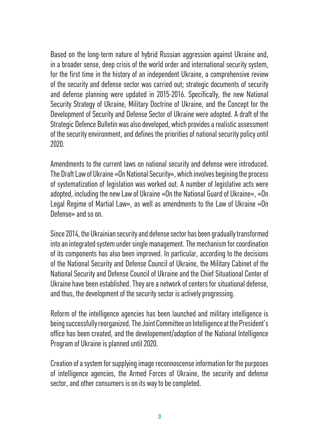Based on the long-term nature of hybrid Russian aggression against Ukraine and, in a broader sense, deep crisis of the world order and international security system, for the first time in the history of an independent Ukraine, a comprehensive review of the security and defense sector was carried out; strategic documents of security and defense planning were updated in 2015-2016. Specifically, the new National Security Strategy of Ukraine, Military Doctrine of Ukraine, and the Concept for the Development of Security and Defense Sector of Ukraine were adopted. A draft of the Strategic Defence Bulletin was also developed, which provides a realistic assessment of the security environment, and defines the priorities of national security policy until 2020.

Amendments to the current laws on national security and defense were introduced. The Draft Law of Ukraine «On National Security», which involves begining the process of systematization of legislation was worked out. A number of legislative acts were adopted, including the new Law of Ukraine «On the National Guard of Ukraine», «On Legal Regime of Martial Law», as well as amendments to the Law of Ukraine «On Defense» and so on.

Since 2014, the Ukrainian security and defense sector has been gradually transformed into an integrated system under single management. The mechanism for coordination of its components has also been improved. In particular, according to the decisions of the National Security and Defense Council of Ukraine, the Military Cabinet of the National Security and Defense Council of Ukraine and the Chief Situational Center of Ukraine have been established. They are a network of centers for situational defense, and thus, the development of the security sector is actively progressing.

Reform of the intelligence agencies has been launched and military intelligence is being successfully reorganized. The Joint Committee on Intelligence at the President's office has been created, and the developement/adoption of the National Intelligence Program of Ukraine is planned until 2020.

Creation of a system for supplying image reconnoscense information for the purposes of intelligence agencies, the Armed Forces of Ukraine, the security and defense sector, and other consumers is on its way to be completed.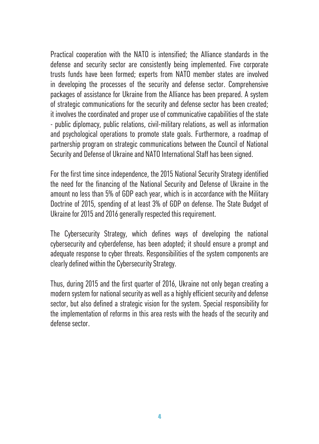Practical cooperation with the NATO is intensified; the Alliance standards in the defense and security sector are consistently being implemented. Five corporate trusts funds have been formed; experts from NATO member states are involved in developing the processes of the security and defense sector. Comprehensive packages of assistance for Ukraine from the Alliance has been prepared. A system of strategic communications for the security and defense sector has been created; it involves the coordinated and proper use of communicative capabilities of the state - public diplomacy, public relations, civil-military relations, as well as information and psychological operations to promote state goals. Furthermore, a roadmap of partnership program on strategic communications between the Council of National Security and Defense of Ukraine and NATO International Staff has been signed.

For the first time since independence, the 2015 National Security Strategy identified the need for the financing of the National Security and Defense of Ukraine in the amount no less than 5% of GDP each year, which is in accordance with the Military Doctrine of 2015, spending of at least 3% of GDP on defense. The State Budget of Ukraine for 2015 and 2016 generally respected this requirement.

The Cybersecurity Strategy, which defines ways of developing the national cybersecurity and cyberdefense, has been adopted; it should ensure a prompt and adequate response to cyber threats. Responsibilities of the system components are clearly defined within the Cybersecurity Strategy.

Thus, during 2015 and the first quarter of 2016, Ukraine not only began creating a modern system for national security as well as a highly efficient security and defense sector, but also defined a strategic vision for the system. Special responsibility for the implementation of reforms in this area rests with the heads of the security and defense sector.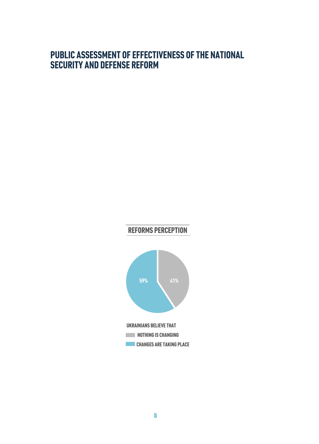#### **PUBLIC ASSESSMENT OF EFFECTIVENESS OF THE NATIONAL SECURITY AND DEFENSE REFORM**

# **REFORMS PERCEPTION**

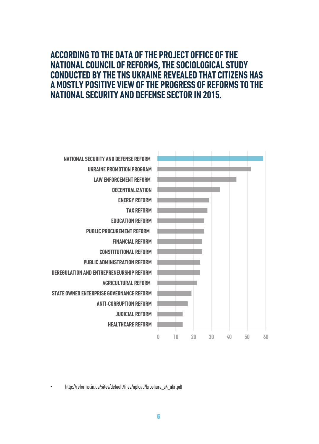#### **ACCORDING TO THE DATA OF THE PROJECT OFFICE OF THE NATIONAL COUNCIL OF REFORMS, THE SOCIOLOGICAL STUDY CONDUCTED BY THE TNS UKRAINE REVEALED THAT CITIZENS HAS A MOSTLY POSITIVE VIEW OF THE PROGRESS OF REFORMS TO THE NATIONAL SECURITY AND DEFENSE SECTOR IN 2015.**



• http://reforms.in.ua/sites/default/files/upload/broshura\_a4\_ukr.pdf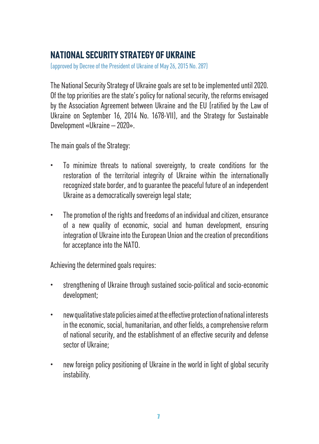## **NATIONAL SECURITY STRATEGY OF UKRAINE**

(approved by Decree of the President of Ukraine of May 26, 2015 No. 287)

The National Security Strategy of Ukraine goals are set to be implemented until 2020. Of the top priorities are the state's policy for national security, the reforms envisaged by the Association Agreement between Ukraine and the EU (ratified by the Law of Ukraine on September 16, 2014 No. 1678-VII), and the Strategy for Sustainable Development «Ukraine – 2020».

The main goals of the Strategy:

- To minimize threats to national sovereignty, to create conditions for the restoration of the territorial integrity of Ukraine within the internationally recognized state border, and to guarantee the peaceful future of an independent Ukraine as a democratically sovereign legal state;
- The promotion of the rights and freedoms of an individual and citizen, ensurance of a new quality of economic, social and human development, ensuring integration of Ukraine into the European Union and the creation of preconditions for acceptance into the NATO.

Achieving the determined goals requires:

- strengthening of Ukraine through sustained socio-political and socio-economic development;
- new qualitative state policies aimed at the effective protection of national interests in the economic, social, humanitarian, and other fields, a comprehensive reform of national security, and the establishment of an effective security and defense sector of Ukraine;
- new foreign policy positioning of Ukraine in the world in light of global security instability.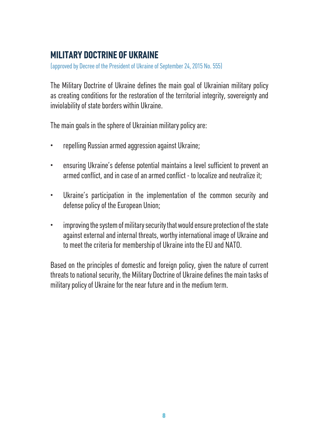## **MILITARY DOCTRINE OF UKRAINE**

(approved by Decree of the President of Ukraine of September 24, 2015 No. 555)

The Military Doctrine of Ukraine defines the main goal of Ukrainian military policy as creating conditions for the restoration of the territorial integrity, sovereignty and inviolability of state borders within Ukraine.

The main goals in the sphere of Ukrainian military policy are:

- repelling Russian armed aggression against Ukraine;
- ensuring Ukraine's defense potential maintains a level sufficient to prevent an armed conflict, and in case of an armed conflict - to localize and neutralize it;
- Ukraine's participation in the implementation of the common security and defense policy of the European Union;
- improving the system of military security that would ensure protection of the state against external and internal threats, worthy international image of Ukraine and to meet the criteria for membership of Ukraine into the EU and NATO.

Based on the principles of domestic and foreign policy, given the nature of current threats to national security, the Military Doctrine of Ukraine defines the main tasks of military policy of Ukraine for the near future and in the medium term.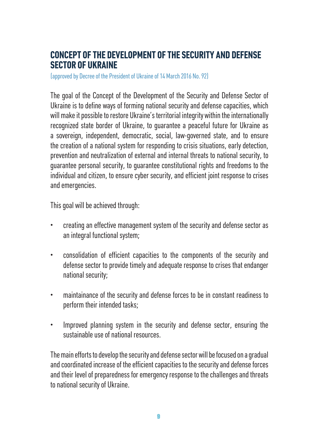#### **CONCEPT OF THE DEVELOPMENT OF THE SECURITY AND DEFENSE SECTOR OF UKRAINE**

(approved by Decree of the President of Ukraine of 14 March 2016 No. 92)

The goal of the Concept of the Development of the Security and Defense Sector of Ukraine is to define ways of forming national security and defense capacities, which will make it possible to restore Ukraine's territorial integrity within the internationally recognized state border of Ukraine, to guarantee a peaceful future for Ukraine as a sovereign, independent, democratic, social, law-governed state, and to ensure the creation of a national system for responding to crisis situations, early detection, prevention and neutralization of external and internal threats to national security, to guarantee personal security, to guarantee constitutional rights and freedoms to the individual and citizen, to ensure cyber security, and efficient joint response to crises and emergencies.

This goal will be achieved through:

- creating an effective management system of the security and defense sector as an integral functional system;
- consolidation of efficient capacities to the components of the security and defense sector to provide timely and adequate response to crises that endanger national security;
- maintainance of the security and defense forces to be in constant readiness to perform their intended tasks;
- Improved planning system in the security and defense sector, ensuring the sustainable use of national resources.

The main efforts to develop the security and defense sector will be focused on a gradual and coordinated increase of the efficient capacities to the security and defense forces and their level of preparedness for emergency response to the challenges and threats to national security of Ukraine.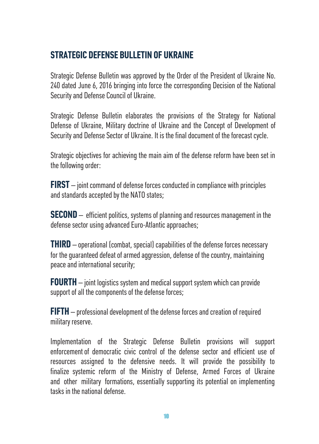# **STRATEGIC DEFENSE BULLETIN OF UKRAINE**

Strategic Defense Bulletin was approved by the Order of the President of Ukraine No. 240 dated June 6, 2016 bringing into force the corresponding Decision of the National Security and Defense Council of Ukraine.

Strategic Defense Bulletin elaborates the provisions of the Strategy for National Defense of Ukraine, Military doctrine of Ukraine and the Concept of Development of Security and Defense Sector of Ukraine. It is the final document of the forecast cycle.

Strategic objectives for achieving the main aim of the defense reform have been set in the following order:

**FIRST** – joint command of defense forces conducted in compliance with principles and standards accepted by the NATO states;

**SECOND** – efficient politics, systems of planning and resources management in the defense sector using advanced Euro-Atlantic approaches;

**THIRD** – operational (combat, special) capabilities of the defense forces necessary for the guaranteed defeat of armed aggression, defense of the country, maintaining peace and international security;

**FOURTH** – joint logistics system and medical support system which can provide support of all the components of the defense forces;

**FIFTH** – professional development of the defense forces and creation of required military reserve.

Implementation of the Strategic Defense Bulletin provisions will support enforcement of democratic civic control of the defense sector and efficient use of resources assigned to the defensive needs. It will provide the possibility to finalize systemic reform of the Ministry of Defense, Armed Forces of Ukraine and other military formations, essentially supporting its potential on implementing tasks in the national defense.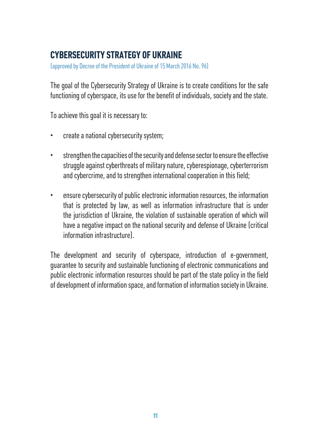## **CYBERSECURITY STRATEGY OF UKRAINE**

(approved by Decree of the President of Ukraine of 15 March 2016 No. 96)

The goal of the Cybersecurity Strategy of Ukraine is to create conditions for the safe functioning of cyberspace, its use for the benefit of individuals, society and the state.

To achieve this goal it is necessary to:

- create a national cybersecurity system;
- strengthen the capacities of the security and defense sector to ensure the effective struggle against cyberthreats of military nature, cyberespionage, cyberterrorism and cybercrime, and to strengthen international cooperation in this field;
- ensure cybersecurity of public electronic information resources, the information that is protected by law, as well as information infrastructure that is under the jurisdiction of Ukraine, the violation of sustainable operation of which will have a negative impact on the national security and defense of Ukraine (critical information infrastructure).

The development and security of cyberspace, introduction of e-government, guarantee to security and sustainable functioning of electronic communications and public electronic information resources should be part of the state policy in the field of development of information space, and formation of information society in Ukraine.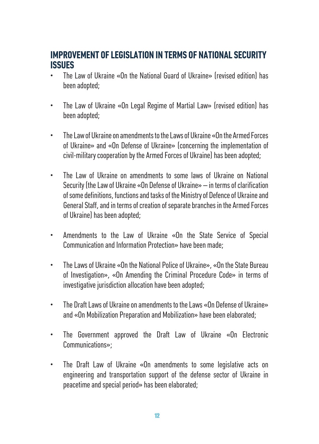#### **IMPROVEMENT OF LEGISLATION IN TERMS OF NATIONAL SECURITY ISSUES**

- The Law of Ukraine «On the National Guard of Ukraine» (revised edition) has been adopted;
- The Law of Ukraine «On Legal Regime of Martial Law» (revised edition) has been adopted;
- The Law of Ukraine on amendments to the Laws of Ukraine «On the Armed Forces of Ukraine» and «On Defense of Ukraine» (concerning the implementation of civil-military cooperation by the Armed Forces of Ukraine) has been adopted;
- The Law of Ukraine on amendments to some laws of Ukraine on National Security (the Law of Ukraine «On Defense of Ukraine» – in terms of clarification of some definitions, functions and tasks of the Ministry of Defence of Ukraine and General Staff, and in terms of creation of separate branches in the Armed Forces of Ukraine) has been adopted;
- Amendments to the Law of Ukraine «On the State Service of Special Communication and Information Protection» have been made;
- The Laws of Ukraine «On the National Police of Ukraine», «On the State Bureau of Investigation», «On Amending the Criminal Procedure Code» in terms of investigative jurisdiction allocation have been adopted;
- The Draft Laws of Ukraine on amendments to the Laws «On Defense of Ukraine» and «On Mobilization Preparation and Mobilization» have been elaborated;
- The Government approved the Draft Law of Ukraine «On Electronic Communications»;
- The Draft Law of Ukraine «On amendments to some legislative acts on engineering and transportation support of the defense sector of Ukraine in peacetime and special period» has been elaborated;